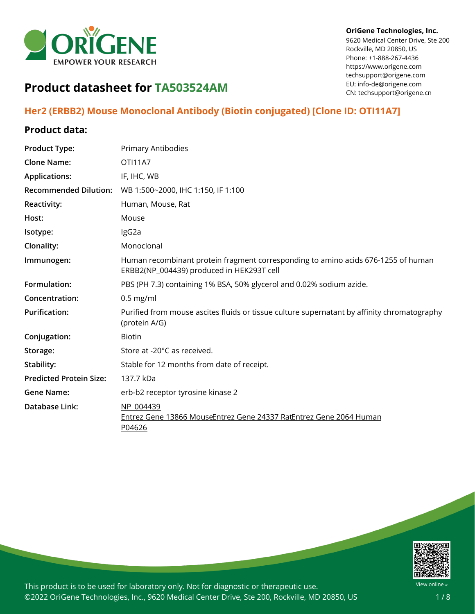

#### **OriGene Technologies, Inc.**

9620 Medical Center Drive, Ste 200 Rockville, MD 20850, US Phone: +1-888-267-4436 https://www.origene.com techsupport@origene.com EU: info-de@origene.com CN: techsupport@origene.cn

# **Product datasheet for TA503524AM**

# **Her2 (ERBB2) Mouse Monoclonal Antibody (Biotin conjugated) [Clone ID: OTI11A7]**

### **Product data:**

| <b>Product Type:</b>           | <b>Primary Antibodies</b>                                                                                                      |
|--------------------------------|--------------------------------------------------------------------------------------------------------------------------------|
| <b>Clone Name:</b>             | <b>OTI11A7</b>                                                                                                                 |
| <b>Applications:</b>           | IF, IHC, WB                                                                                                                    |
| <b>Recommended Dilution:</b>   | WB 1:500~2000, IHC 1:150, IF 1:100                                                                                             |
| Reactivity:                    | Human, Mouse, Rat                                                                                                              |
| Host:                          | Mouse                                                                                                                          |
| Isotype:                       | IgG2a                                                                                                                          |
| Clonality:                     | Monoclonal                                                                                                                     |
| Immunogen:                     | Human recombinant protein fragment corresponding to amino acids 676-1255 of human<br>ERBB2(NP_004439) produced in HEK293T cell |
| Formulation:                   | PBS (PH 7.3) containing 1% BSA, 50% glycerol and 0.02% sodium azide.                                                           |
| Concentration:                 | $0.5$ mg/ml                                                                                                                    |
| <b>Purification:</b>           | Purified from mouse ascites fluids or tissue culture supernatant by affinity chromatography<br>(protein A/G)                   |
| Conjugation:                   | <b>Biotin</b>                                                                                                                  |
| Storage:                       | Store at -20°C as received.                                                                                                    |
| Stability:                     | Stable for 12 months from date of receipt.                                                                                     |
| <b>Predicted Protein Size:</b> | 137.7 kDa                                                                                                                      |
| <b>Gene Name:</b>              | erb-b2 receptor tyrosine kinase 2                                                                                              |
| Database Link:                 | NP 004439<br>Entrez Gene 13866 MouseEntrez Gene 24337 RatEntrez Gene 2064 Human<br>P04626                                      |

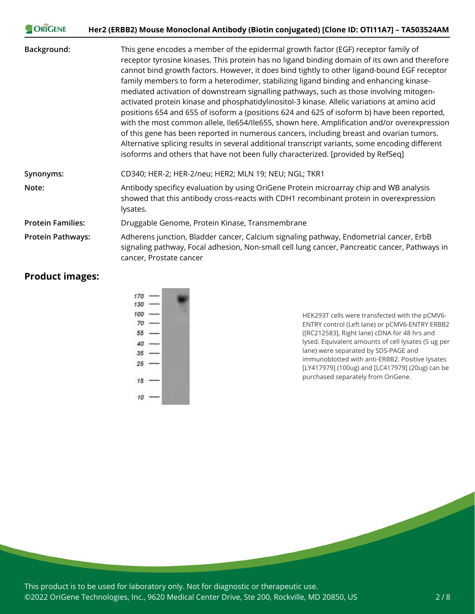| ORIGENE                  | Her2 (ERBB2) Mouse Monoclonal Antibody (Biotin conjugated) [Clone ID: OTI11A7] - TA503524AM                                                                                                                                                                                                                                                                                                                                                                                                                                                                                                                                                                                                                                                                                                                                                                                                                                                                                                                                                               |  |
|--------------------------|-----------------------------------------------------------------------------------------------------------------------------------------------------------------------------------------------------------------------------------------------------------------------------------------------------------------------------------------------------------------------------------------------------------------------------------------------------------------------------------------------------------------------------------------------------------------------------------------------------------------------------------------------------------------------------------------------------------------------------------------------------------------------------------------------------------------------------------------------------------------------------------------------------------------------------------------------------------------------------------------------------------------------------------------------------------|--|
| Background:              | This gene encodes a member of the epidermal growth factor (EGF) receptor family of<br>receptor tyrosine kinases. This protein has no ligand binding domain of its own and therefore<br>cannot bind growth factors. However, it does bind tightly to other ligand-bound EGF receptor<br>family members to form a heterodimer, stabilizing ligand binding and enhancing kinase-<br>mediated activation of downstream signalling pathways, such as those involving mitogen-<br>activated protein kinase and phosphatidylinositol-3 kinase. Allelic variations at amino acid<br>positions 654 and 655 of isoform a (positions 624 and 625 of isoform b) have been reported,<br>with the most common allele, Ile654/Ile655, shown here. Amplification and/or overexpression<br>of this gene has been reported in numerous cancers, including breast and ovarian tumors.<br>Alternative splicing results in several additional transcript variants, some encoding different<br>isoforms and others that have not been fully characterized. [provided by RefSeq] |  |
| Synonyms:                | CD340; HER-2; HER-2/neu; HER2; MLN 19; NEU; NGL; TKR1                                                                                                                                                                                                                                                                                                                                                                                                                                                                                                                                                                                                                                                                                                                                                                                                                                                                                                                                                                                                     |  |
| Note:                    | Antibody specificy evaluation by using OriGene Protein microarray chip and WB analysis<br>showed that this antibody cross-reacts with CDH1 recombinant protein in overexpression<br>lysates.                                                                                                                                                                                                                                                                                                                                                                                                                                                                                                                                                                                                                                                                                                                                                                                                                                                              |  |
| <b>Protein Families:</b> | Druggable Genome, Protein Kinase, Transmembrane                                                                                                                                                                                                                                                                                                                                                                                                                                                                                                                                                                                                                                                                                                                                                                                                                                                                                                                                                                                                           |  |
| <b>Protein Pathways:</b> | Adherens junction, Bladder cancer, Calcium signaling pathway, Endometrial cancer, ErbB<br>signaling pathway, Focal adhesion, Non-small cell lung cancer, Pancreatic cancer, Pathways in<br>cancer, Prostate cancer                                                                                                                                                                                                                                                                                                                                                                                                                                                                                                                                                                                                                                                                                                                                                                                                                                        |  |

## **Product images:**

**CORIGENE** 

HEK293T cells were transfected with the pCMV6- ENTRY control (Left lane) or pCMV6-ENTRY ERBB2 ([RC212583], Right lane) cDNA for 48 hrs and lysed. Equivalent amounts of cell lysates (5 ug per lane) were separated by SDS-PAGE and immunoblotted with anti-ERBB2. Positive lysates [LY417979] (100ug) and [LC417979] (20ug) can be purchased separately from OriGene.

This product is to be used for laboratory only. Not for diagnostic or therapeutic use. ©2022 OriGene Technologies, Inc., 9620 Medical Center Drive, Ste 200, Rockville, MD 20850, US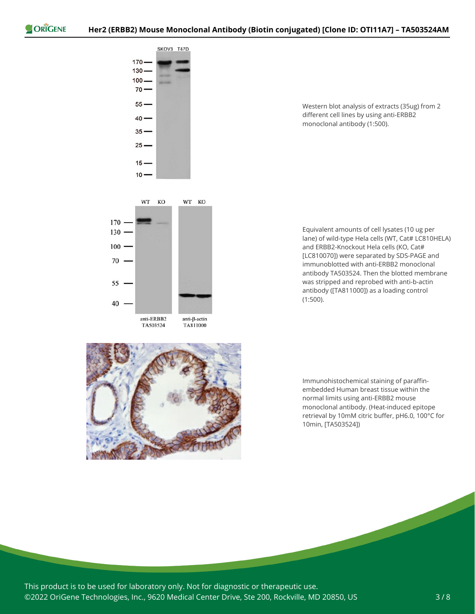

70

55

40

Western blot analysis of extracts (35ug) from 2 different cell lines by using anti-ERBB2 monoclonal antibody (1:500).

Equivalent amounts of cell lysates (10 ug per lane) of wild-type Hela cells (WT, Cat# LC810HELA) and ERBB2-Knockout Hela cells (KO, Cat# [LC810070]) were separated by SDS-PAGE and immunoblotted with anti-ERBB2 monoclonal antibody TA503524. Then the blotted membrane was stripped and reprobed with anti-b-actin antibody ([TA811000]) as a loading control (1:500).



anti-ERBB2

TA503524

anti- $\beta$ -actin

TA811000

Immunohistochemical staining of paraffinembedded Human breast tissue within the normal limits using anti-ERBB2 mouse monoclonal antibody. (Heat-induced epitope retrieval by 10mM citric buffer, pH6.0, 100°C for 10min, [TA503524])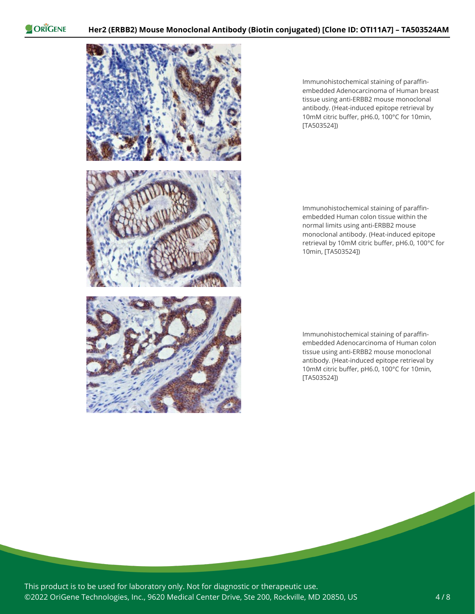

Immunohistochemical staining of paraffinembedded Adenocarcinoma of Human breast tissue using anti-ERBB2 mouse monoclonal antibody. (Heat-induced epitope retrieval by 10mM citric buffer, pH6.0, 100°C for 10min, [TA503524])

Immunohistochemical staining of paraffinembedded Human colon tissue within the normal limits using anti-ERBB2 mouse monoclonal antibody. (Heat-induced epitope retrieval by 10mM citric buffer, pH6.0, 100°C for 10min, [TA503524])

Immunohistochemical staining of paraffinembedded Adenocarcinoma of Human colon tissue using anti-ERBB2 mouse monoclonal antibody. (Heat-induced epitope retrieval by 10mM citric buffer, pH6.0, 100°C for 10min, [TA503524])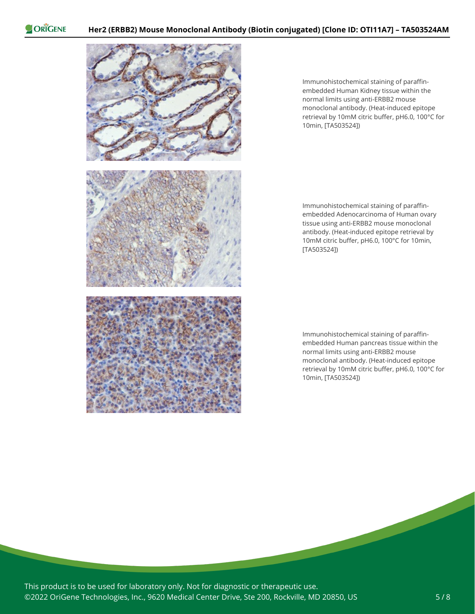

Immunohistochemical staining of paraffinembedded Human Kidney tissue within the normal limits using anti-ERBB2 mouse monoclonal antibody. (Heat-induced epitope retrieval by 10mM citric buffer, pH6.0, 100°C for 10min, [TA503524])

Immunohistochemical staining of paraffinembedded Adenocarcinoma of Human ovary tissue using anti-ERBB2 mouse monoclonal antibody. (Heat-induced epitope retrieval by 10mM citric buffer, pH6.0, 100°C for 10min, [TA503524])

Immunohistochemical staining of paraffinembedded Human pancreas tissue within the normal limits using anti-ERBB2 mouse monoclonal antibody. (Heat-induced epitope retrieval by 10mM citric buffer, pH6.0, 100°C for 10min, [TA503524])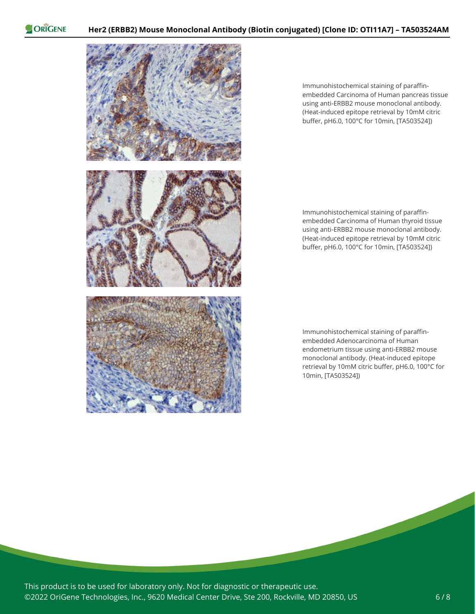

Immunohistochemical staining of paraffinembedded Carcinoma of Human pancreas tissue using anti-ERBB2 mouse monoclonal antibody. (Heat-induced epitope retrieval by 10mM citric buffer, pH6.0, 100°C for 10min, [TA503524])

Immunohistochemical staining of paraffinembedded Carcinoma of Human thyroid tissue using anti-ERBB2 mouse monoclonal antibody. (Heat-induced epitope retrieval by 10mM citric buffer, pH6.0, 100°C for 10min, [TA503524])

Immunohistochemical staining of paraffinembedded Adenocarcinoma of Human endometrium tissue using anti-ERBB2 mouse monoclonal antibody. (Heat-induced epitope retrieval by 10mM citric buffer, pH6.0, 100°C for 10min, [TA503524])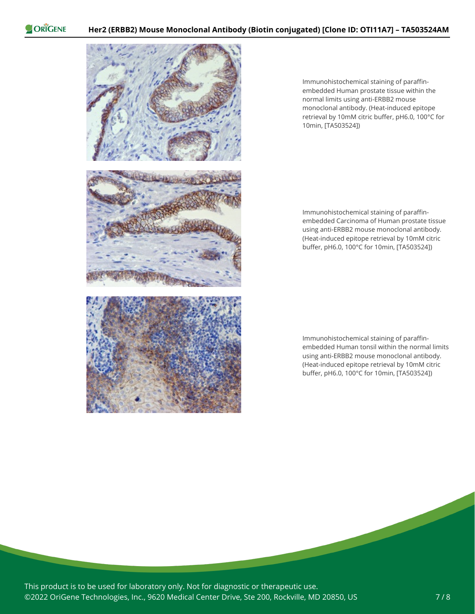

Immunohistochemical staining of paraffinembedded Human prostate tissue within the normal limits using anti-ERBB2 mouse monoclonal antibody. (Heat-induced epitope retrieval by 10mM citric buffer, pH6.0, 100°C for 10min, [TA503524])

Immunohistochemical staining of paraffinembedded Carcinoma of Human prostate tissue using anti-ERBB2 mouse monoclonal antibody. (Heat-induced epitope retrieval by 10mM citric buffer, pH6.0, 100°C for 10min, [TA503524])

Immunohistochemical staining of paraffinembedded Human tonsil within the normal limits using anti-ERBB2 mouse monoclonal antibody. (Heat-induced epitope retrieval by 10mM citric buffer, pH6.0, 100°C for 10min, [TA503524])